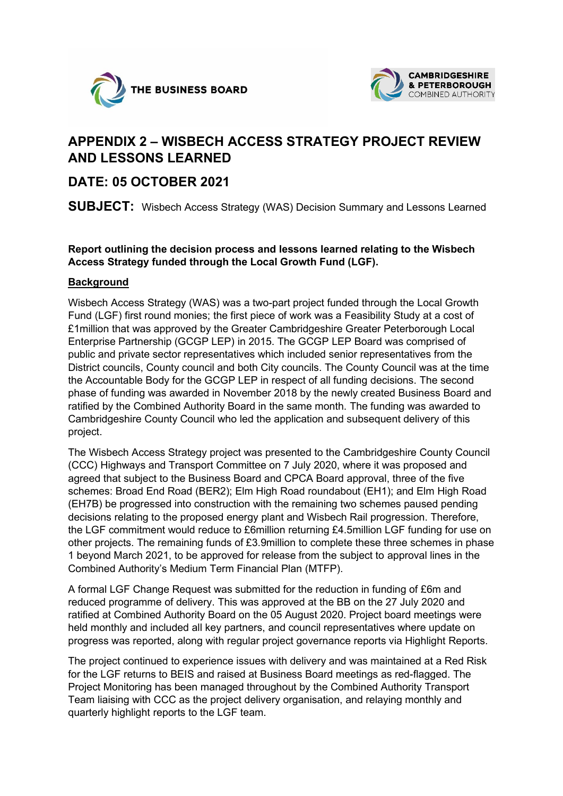



## **APPENDIX 2 – WISBECH ACCESS STRATEGY PROJECT REVIEW AND LESSONS LEARNED**

## **DATE: 05 OCTOBER 2021**

**SUBJECT:** Wisbech Access Strategy (WAS) Decision Summary and Lessons Learned

**Report outlining the decision process and lessons learned relating to the Wisbech Access Strategy funded through the Local Growth Fund (LGF).** 

## **Background**

Wisbech Access Strategy (WAS) was a two-part project funded through the Local Growth Fund (LGF) first round monies; the first piece of work was a Feasibility Study at a cost of £1million that was approved by the Greater Cambridgeshire Greater Peterborough Local Enterprise Partnership (GCGP LEP) in 2015. The GCGP LEP Board was comprised of public and private sector representatives which included senior representatives from the District councils, County council and both City councils. The County Council was at the time the Accountable Body for the GCGP LEP in respect of all funding decisions. The second phase of funding was awarded in November 2018 by the newly created Business Board and ratified by the Combined Authority Board in the same month. The funding was awarded to Cambridgeshire County Council who led the application and subsequent delivery of this project.

The Wisbech Access Strategy project was presented to the Cambridgeshire County Council (CCC) Highways and Transport Committee on 7 July 2020, where it was proposed and agreed that subject to the Business Board and CPCA Board approval, three of the five schemes: Broad End Road (BER2); Elm High Road roundabout (EH1); and Elm High Road (EH7B) be progressed into construction with the remaining two schemes paused pending decisions relating to the proposed energy plant and Wisbech Rail progression. Therefore, the LGF commitment would reduce to £6million returning £4.5million LGF funding for use on other projects. The remaining funds of £3.9million to complete these three schemes in phase 1 beyond March 2021, to be approved for release from the subject to approval lines in the Combined Authority's Medium Term Financial Plan (MTFP).

A formal LGF Change Request was submitted for the reduction in funding of £6m and reduced programme of delivery. This was approved at the BB on the 27 July 2020 and ratified at Combined Authority Board on the 05 August 2020. Project board meetings were held monthly and included all key partners, and council representatives where update on progress was reported, along with regular project governance reports via Highlight Reports.

The project continued to experience issues with delivery and was maintained at a Red Risk for the LGF returns to BEIS and raised at Business Board meetings as red-flagged. The Project Monitoring has been managed throughout by the Combined Authority Transport Team liaising with CCC as the project delivery organisation, and relaying monthly and quarterly highlight reports to the LGF team.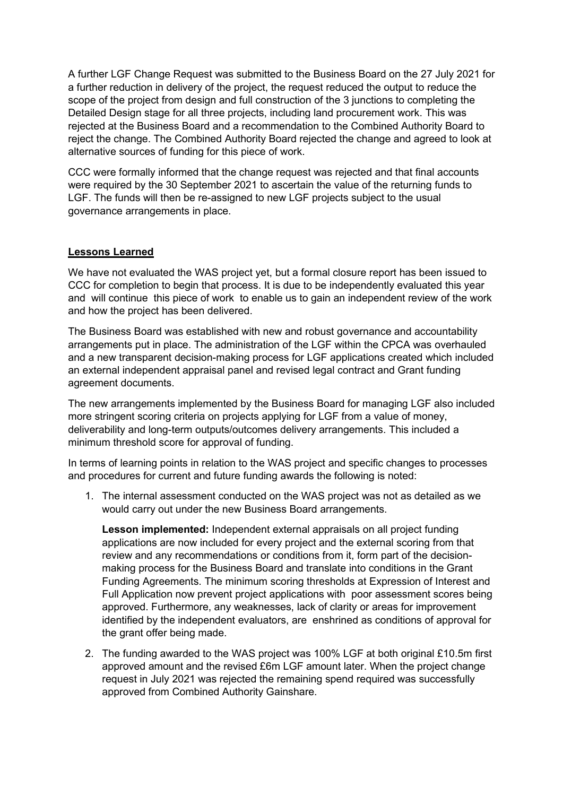A further LGF Change Request was submitted to the Business Board on the 27 July 2021 for a further reduction in delivery of the project, the request reduced the output to reduce the scope of the project from design and full construction of the 3 junctions to completing the Detailed Design stage for all three projects, including land procurement work. This was rejected at the Business Board and a recommendation to the Combined Authority Board to reject the change. The Combined Authority Board rejected the change and agreed to look at alternative sources of funding for this piece of work.

CCC were formally informed that the change request was rejected and that final accounts were required by the 30 September 2021 to ascertain the value of the returning funds to LGF. The funds will then be re-assigned to new LGF projects subject to the usual governance arrangements in place.

## **Lessons Learned**

We have not evaluated the WAS project yet, but a formal closure report has been issued to CCC for completion to begin that process. It is due to be independently evaluated this year and will continue this piece of work to enable us to gain an independent review of the work and how the project has been delivered.

The Business Board was established with new and robust governance and accountability arrangements put in place. The administration of the LGF within the CPCA was overhauled and a new transparent decision-making process for LGF applications created which included an external independent appraisal panel and revised legal contract and Grant funding agreement documents.

The new arrangements implemented by the Business Board for managing LGF also included more stringent scoring criteria on projects applying for LGF from a value of money, deliverability and long-term outputs/outcomes delivery arrangements. This included a minimum threshold score for approval of funding.

In terms of learning points in relation to the WAS project and specific changes to processes and procedures for current and future funding awards the following is noted:

1. The internal assessment conducted on the WAS project was not as detailed as we would carry out under the new Business Board arrangements.

**Lesson implemented:** Independent external appraisals on all project funding applications are now included for every project and the external scoring from that review and any recommendations or conditions from it, form part of the decisionmaking process for the Business Board and translate into conditions in the Grant Funding Agreements. The minimum scoring thresholds at Expression of Interest and Full Application now prevent project applications with poor assessment scores being approved. Furthermore, any weaknesses, lack of clarity or areas for improvement identified by the independent evaluators, are enshrined as conditions of approval for the grant offer being made.

2. The funding awarded to the WAS project was 100% LGF at both original £10.5m first approved amount and the revised £6m LGF amount later. When the project change request in July 2021 was rejected the remaining spend required was successfully approved from Combined Authority Gainshare.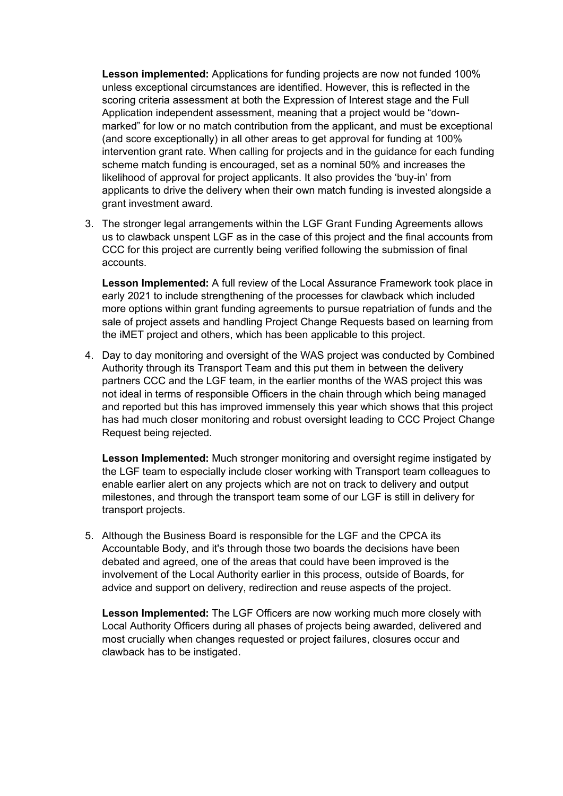**Lesson implemented:** Applications for funding projects are now not funded 100% unless exceptional circumstances are identified. However, this is reflected in the scoring criteria assessment at both the Expression of Interest stage and the Full Application independent assessment, meaning that a project would be "downmarked" for low or no match contribution from the applicant, and must be exceptional (and score exceptionally) in all other areas to get approval for funding at 100% intervention grant rate. When calling for projects and in the guidance for each funding scheme match funding is encouraged, set as a nominal 50% and increases the likelihood of approval for project applicants. It also provides the 'buy-in' from applicants to drive the delivery when their own match funding is invested alongside a grant investment award.

3. The stronger legal arrangements within the LGF Grant Funding Agreements allows us to clawback unspent LGF as in the case of this project and the final accounts from CCC for this project are currently being verified following the submission of final accounts.

**Lesson Implemented:** A full review of the Local Assurance Framework took place in early 2021 to include strengthening of the processes for clawback which included more options within grant funding agreements to pursue repatriation of funds and the sale of project assets and handling Project Change Requests based on learning from the iMET project and others, which has been applicable to this project.

4. Day to day monitoring and oversight of the WAS project was conducted by Combined Authority through its Transport Team and this put them in between the delivery partners CCC and the LGF team, in the earlier months of the WAS project this was not ideal in terms of responsible Officers in the chain through which being managed and reported but this has improved immensely this year which shows that this project has had much closer monitoring and robust oversight leading to CCC Project Change Request being rejected.

**Lesson Implemented:** Much stronger monitoring and oversight regime instigated by the LGF team to especially include closer working with Transport team colleagues to enable earlier alert on any projects which are not on track to delivery and output milestones, and through the transport team some of our LGF is still in delivery for transport projects.

5. Although the Business Board is responsible for the LGF and the CPCA its Accountable Body, and it's through those two boards the decisions have been debated and agreed, one of the areas that could have been improved is the involvement of the Local Authority earlier in this process, outside of Boards, for advice and support on delivery, redirection and reuse aspects of the project.

**Lesson Implemented:** The LGF Officers are now working much more closely with Local Authority Officers during all phases of projects being awarded, delivered and most crucially when changes requested or project failures, closures occur and clawback has to be instigated.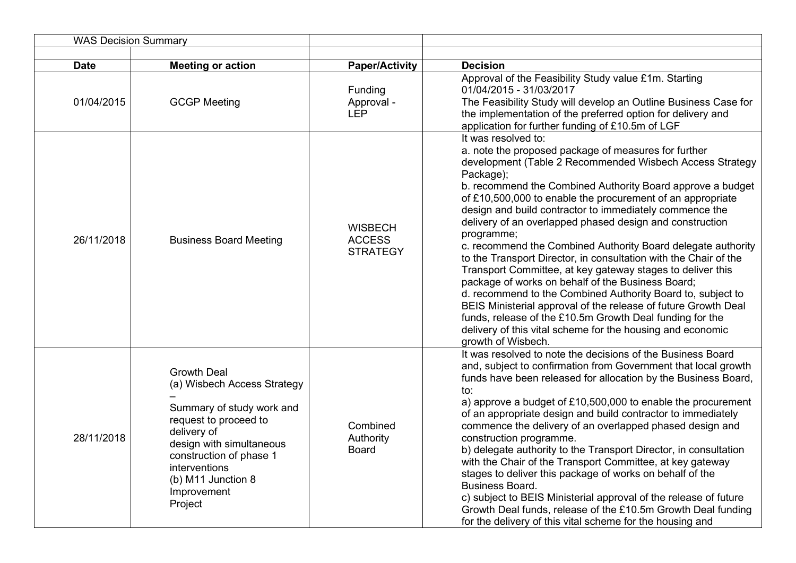|             | <b>WAS Decision Summary</b>                                                                                                                                                                                                                    |                                                    |                                                                                                                                                                                                                                                                                                                                                                                                                                                                                                                                                                                                                                                                                                                                                                                                                                                                                                                                                               |
|-------------|------------------------------------------------------------------------------------------------------------------------------------------------------------------------------------------------------------------------------------------------|----------------------------------------------------|---------------------------------------------------------------------------------------------------------------------------------------------------------------------------------------------------------------------------------------------------------------------------------------------------------------------------------------------------------------------------------------------------------------------------------------------------------------------------------------------------------------------------------------------------------------------------------------------------------------------------------------------------------------------------------------------------------------------------------------------------------------------------------------------------------------------------------------------------------------------------------------------------------------------------------------------------------------|
| <b>Date</b> | <b>Meeting or action</b>                                                                                                                                                                                                                       | <b>Paper/Activity</b>                              | <b>Decision</b>                                                                                                                                                                                                                                                                                                                                                                                                                                                                                                                                                                                                                                                                                                                                                                                                                                                                                                                                               |
| 01/04/2015  | <b>GCGP Meeting</b>                                                                                                                                                                                                                            | Funding<br>Approval -<br><b>LEP</b>                | Approval of the Feasibility Study value £1m. Starting<br>01/04/2015 - 31/03/2017<br>The Feasibility Study will develop an Outline Business Case for<br>the implementation of the preferred option for delivery and<br>application for further funding of £10.5m of LGF                                                                                                                                                                                                                                                                                                                                                                                                                                                                                                                                                                                                                                                                                        |
| 26/11/2018  | <b>Business Board Meeting</b>                                                                                                                                                                                                                  | <b>WISBECH</b><br><b>ACCESS</b><br><b>STRATEGY</b> | It was resolved to:<br>a. note the proposed package of measures for further<br>development (Table 2 Recommended Wisbech Access Strategy<br>Package);<br>b. recommend the Combined Authority Board approve a budget<br>of £10,500,000 to enable the procurement of an appropriate<br>design and build contractor to immediately commence the<br>delivery of an overlapped phased design and construction<br>programme;<br>c. recommend the Combined Authority Board delegate authority<br>to the Transport Director, in consultation with the Chair of the<br>Transport Committee, at key gateway stages to deliver this<br>package of works on behalf of the Business Board;<br>d. recommend to the Combined Authority Board to, subject to<br>BEIS Ministerial approval of the release of future Growth Deal<br>funds, release of the £10.5m Growth Deal funding for the<br>delivery of this vital scheme for the housing and economic<br>growth of Wisbech. |
| 28/11/2018  | <b>Growth Deal</b><br>(a) Wisbech Access Strategy<br>Summary of study work and<br>request to proceed to<br>delivery of<br>design with simultaneous<br>construction of phase 1<br>interventions<br>(b) M11 Junction 8<br>Improvement<br>Project | Combined<br>Authority<br><b>Board</b>              | It was resolved to note the decisions of the Business Board<br>and, subject to confirmation from Government that local growth<br>funds have been released for allocation by the Business Board,<br>to:<br>a) approve a budget of £10,500,000 to enable the procurement<br>of an appropriate design and build contractor to immediately<br>commence the delivery of an overlapped phased design and<br>construction programme.<br>b) delegate authority to the Transport Director, in consultation<br>with the Chair of the Transport Committee, at key gateway<br>stages to deliver this package of works on behalf of the<br>Business Board.<br>c) subject to BEIS Ministerial approval of the release of future<br>Growth Deal funds, release of the £10.5m Growth Deal funding<br>for the delivery of this vital scheme for the housing and                                                                                                                |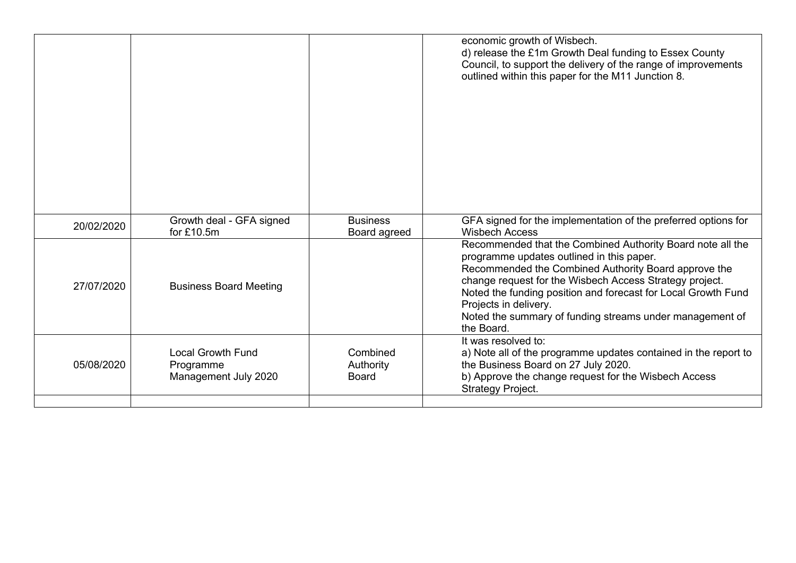|            |                                                               |                                       | economic growth of Wisbech.<br>d) release the £1m Growth Deal funding to Essex County<br>Council, to support the delivery of the range of improvements<br>outlined within this paper for the M11 Junction 8.                                                                                                                                                                                   |
|------------|---------------------------------------------------------------|---------------------------------------|------------------------------------------------------------------------------------------------------------------------------------------------------------------------------------------------------------------------------------------------------------------------------------------------------------------------------------------------------------------------------------------------|
| 20/02/2020 | Growth deal - GFA signed<br>for £10.5m                        | <b>Business</b><br>Board agreed       | GFA signed for the implementation of the preferred options for<br><b>Wisbech Access</b>                                                                                                                                                                                                                                                                                                        |
| 27/07/2020 | <b>Business Board Meeting</b>                                 |                                       | Recommended that the Combined Authority Board note all the<br>programme updates outlined in this paper.<br>Recommended the Combined Authority Board approve the<br>change request for the Wisbech Access Strategy project.<br>Noted the funding position and forecast for Local Growth Fund<br>Projects in delivery.<br>Noted the summary of funding streams under management of<br>the Board. |
| 05/08/2020 | <b>Local Growth Fund</b><br>Programme<br>Management July 2020 | Combined<br>Authority<br><b>Board</b> | It was resolved to:<br>a) Note all of the programme updates contained in the report to<br>the Business Board on 27 July 2020.<br>b) Approve the change request for the Wisbech Access<br>Strategy Project.                                                                                                                                                                                     |
|            |                                                               |                                       |                                                                                                                                                                                                                                                                                                                                                                                                |